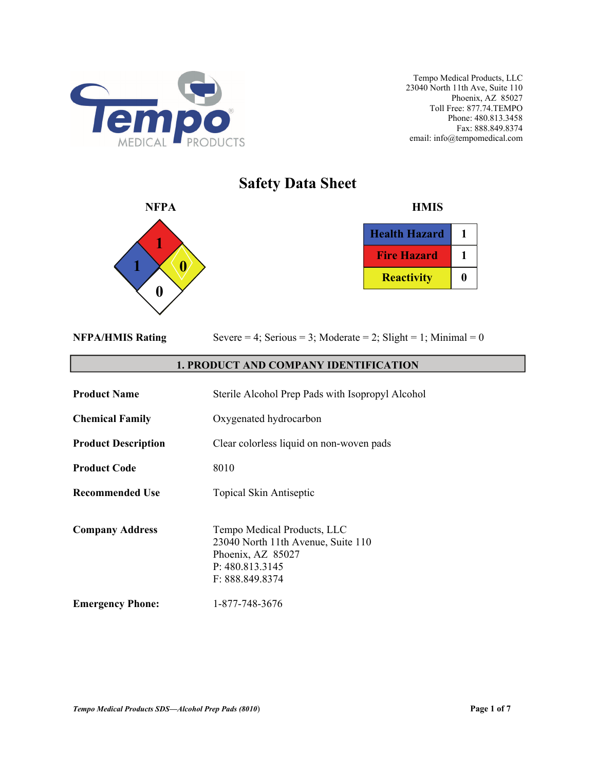

# **Safety Data Sheet**



| <b>Health Hazard</b> |  |
|----------------------|--|
| <b>Fire Hazard</b>   |  |
| <b>Reactivity</b>    |  |

|  | <b>NFPA/HMIS Rating</b> |
|--|-------------------------|

Severe  $= 4$ ; Serious  $= 3$ ; Moderate  $= 2$ ; Slight  $= 1$ ; Minimal  $= 0$ 

# **1. PRODUCT AND COMPANY IDENTIFICATION**

| <b>Product Name</b>        | Sterile Alcohol Prep Pads with Isopropyl Alcohol                                                                             |
|----------------------------|------------------------------------------------------------------------------------------------------------------------------|
| <b>Chemical Family</b>     | Oxygenated hydrocarbon                                                                                                       |
| <b>Product Description</b> | Clear colorless liquid on non-woven pads                                                                                     |
| <b>Product Code</b>        | 8010                                                                                                                         |
| <b>Recommended Use</b>     | Topical Skin Antiseptic                                                                                                      |
| <b>Company Address</b>     | Tempo Medical Products, LLC<br>23040 North 11th Avenue, Suite 110<br>Phoenix, AZ 85027<br>P: 480.813.3145<br>F: 888.849.8374 |
| <b>Emergency Phone:</b>    | 1-877-748-3676                                                                                                               |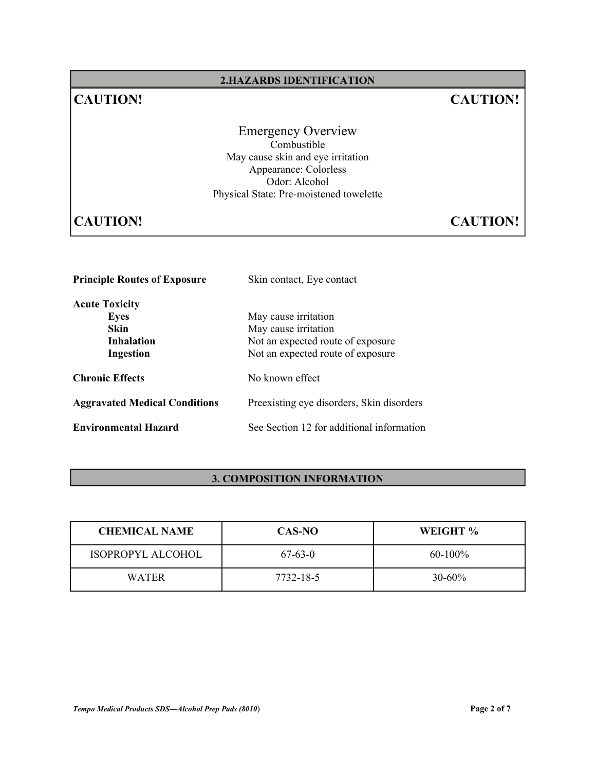# **2.HAZARDS IDENTIFICATION**

# **CAUTION! CAUTION!**

Emergency Overview Combustible May cause skin and eye irritation Appearance: Colorless Odor: Alcohol Physical State: Pre-moistened towelette

# **CAUTION! CAUTION!**

| <b>Principle Routes of Exposure</b>  | Skin contact, Eye contact                 |  |
|--------------------------------------|-------------------------------------------|--|
| <b>Acute Toxicity</b>                |                                           |  |
| Eyes                                 | May cause irritation                      |  |
| Skin                                 | May cause irritation                      |  |
| <b>Inhalation</b>                    | Not an expected route of exposure         |  |
| Ingestion                            | Not an expected route of exposure         |  |
| <b>Chronic Effects</b>               | No known effect                           |  |
| <b>Aggravated Medical Conditions</b> | Preexisting eye disorders, Skin disorders |  |
| <b>Environmental Hazard</b>          | See Section 12 for additional information |  |

# **3. COMPOSITION INFORMATION**

| <b>CHEMICAL NAME</b> | CAS-NO    | WEIGHT %    |
|----------------------|-----------|-------------|
| ISOPROPYL ALCOHOL    | $67-63-0$ | $60-100\%$  |
| <b>WATER</b>         | 7732-18-5 | $30 - 60\%$ |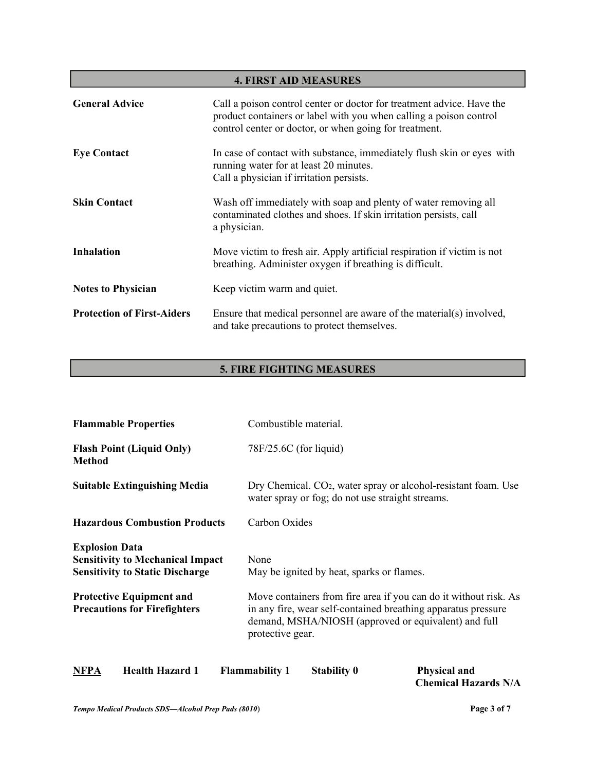| <b>4. FIRST AID MEASURES</b>      |                                                                                                                                                                                                       |  |
|-----------------------------------|-------------------------------------------------------------------------------------------------------------------------------------------------------------------------------------------------------|--|
| <b>General Advice</b>             | Call a poison control center or doctor for treatment advice. Have the<br>product containers or label with you when calling a poison control<br>control center or doctor, or when going for treatment. |  |
| <b>Eye Contact</b>                | In case of contact with substance, immediately flush skin or eyes with<br>running water for at least 20 minutes.<br>Call a physician if irritation persists.                                          |  |
| <b>Skin Contact</b>               | Wash off immediately with soap and plenty of water removing all<br>contaminated clothes and shoes. If skin irritation persists, call<br>a physician.                                                  |  |
| <b>Inhalation</b>                 | Move victim to fresh air. Apply artificial respiration if victim is not<br>breathing. Administer oxygen if breathing is difficult.                                                                    |  |
| <b>Notes to Physician</b>         | Keep victim warm and quiet.                                                                                                                                                                           |  |
| <b>Protection of First-Aiders</b> | Ensure that medical personnel are aware of the material(s) involved,<br>and take precautions to protect themselves.                                                                                   |  |

# **5. FIRE FIGHTING MEASURES**

| <b>Flammable Properties</b>                                                                                | Combustible material.                                                                                                                                                                                         |  |
|------------------------------------------------------------------------------------------------------------|---------------------------------------------------------------------------------------------------------------------------------------------------------------------------------------------------------------|--|
| <b>Flash Point (Liquid Only)</b><br><b>Method</b>                                                          | 78F/25.6C (for liquid)                                                                                                                                                                                        |  |
| <b>Suitable Extinguishing Media</b>                                                                        | Dry Chemical. CO <sub>2</sub> , water spray or alcohol-resistant foam. Use<br>water spray or fog; do not use straight streams.                                                                                |  |
| <b>Hazardous Combustion Products</b>                                                                       | Carbon Oxides                                                                                                                                                                                                 |  |
| <b>Explosion Data</b><br><b>Sensitivity to Mechanical Impact</b><br><b>Sensitivity to Static Discharge</b> | None<br>May be ignited by heat, sparks or flames.                                                                                                                                                             |  |
| <b>Protective Equipment and</b><br><b>Precautions for Firefighters</b>                                     | Move containers from fire area if you can do it without risk. As<br>in any fire, wear self-contained breathing apparatus pressure<br>demand, MSHA/NIOSH (approved or equivalent) and full<br>protective gear. |  |
| <b>Health Hazard 1</b><br><b>NFPA</b>                                                                      | <b>Flammability 1</b><br><b>Stability 0</b><br><b>Physical and</b>                                                                                                                                            |  |

 **Chemical Hazards N/A**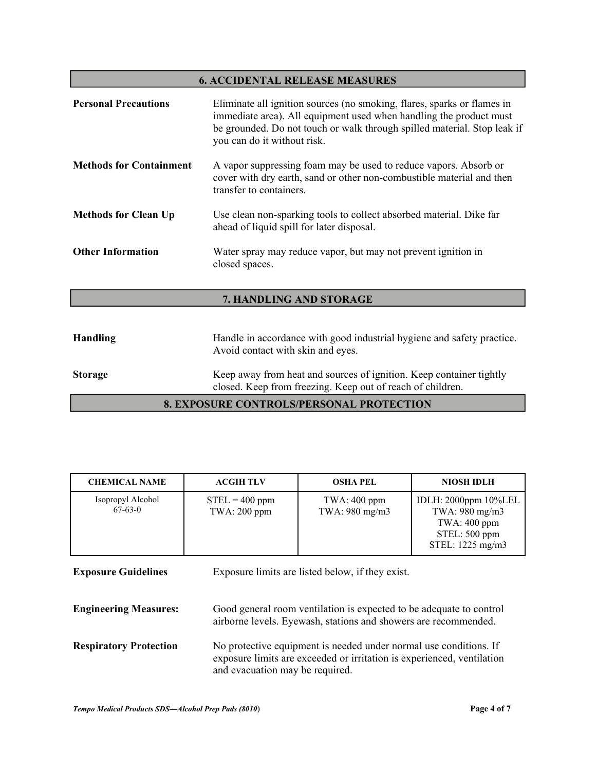### **6. ACCIDENTAL RELEASE MEASURES**

| <b>Personal Precautions</b>    | Eliminate all ignition sources (no smoking, flares, sparks or flames in<br>immediate area). All equipment used when handling the product must<br>be grounded. Do not touch or walk through spilled material. Stop leak if<br>you can do it without risk. |
|--------------------------------|----------------------------------------------------------------------------------------------------------------------------------------------------------------------------------------------------------------------------------------------------------|
| <b>Methods for Containment</b> | A vapor suppressing foam may be used to reduce vapors. Absorb or<br>cover with dry earth, sand or other non-combustible material and then<br>transfer to containers.                                                                                     |
| <b>Methods for Clean Up</b>    | Use clean non-sparking tools to collect absorbed material. Dike far<br>ahead of liquid spill for later disposal.                                                                                                                                         |
| <b>Other Information</b>       | Water spray may reduce vapor, but may not prevent ignition in<br>closed spaces.                                                                                                                                                                          |

# **7. HANDLING AND STORAGE**

| Handling       | Handle in accordance with good industrial hygiene and safety practice.<br>Avoid contact with skin and eyes.                       |
|----------------|-----------------------------------------------------------------------------------------------------------------------------------|
| <b>Storage</b> | Keep away from heat and sources of ignition. Keep container tightly<br>closed. Keep from freezing. Keep out of reach of children. |
|                | <b>8. EXPOSURE CONTROLS/PERSONAL PROTECTION</b>                                                                                   |

| <b>CHEMICAL NAME</b>           | <b>ACGIH TLV</b>                   | <b>OSHA PEL</b>                  | <b>NIOSH IDLH</b>                                                                             |
|--------------------------------|------------------------------------|----------------------------------|-----------------------------------------------------------------------------------------------|
| Isopropyl Alcohol<br>$67-63-0$ | $STEL = 400$ ppm<br>TWA: $200$ ppm | TWA: $400$ ppm<br>TWA: 980 mg/m3 | IDLH: 2000ppm 10%LEL<br>TWA: 980 mg/m3<br>TWA: $400$ ppm<br>STEL: 500 ppm<br>STEL: 1225 mg/m3 |

**Exposure Guidelines** Exposure limits are listed below, if they exist. **Engineering Measures:** Good general room ventilation is expected to be adequate to control airborne levels. Eyewash, stations and showers are recommended. **Respiratory Protection** No protective equipment is needed under normal use conditions. If exposure limits are exceeded or irritation is experienced, ventilation and evacuation may be required.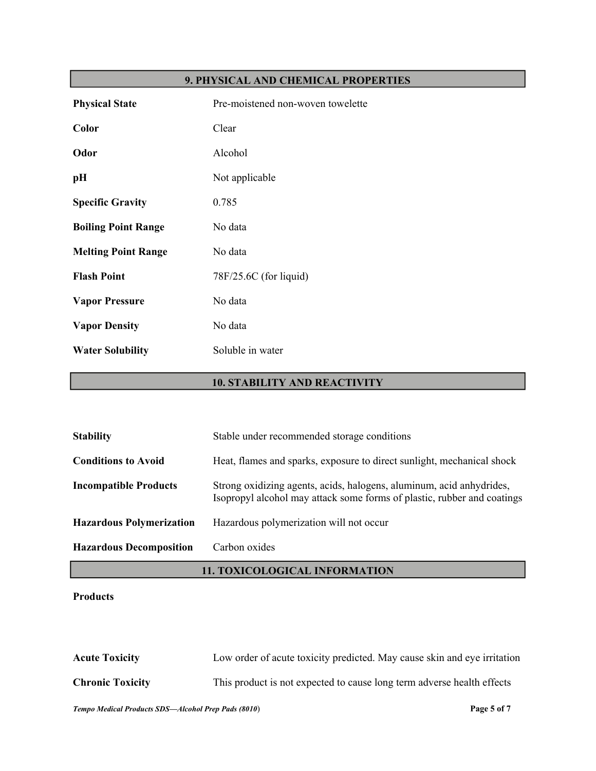# **9. PHYSICAL AND CHEMICAL PROPERTIES**

| <b>Physical State</b>      | Pre-moistened non-woven towelette |
|----------------------------|-----------------------------------|
| <b>Color</b>               | Clear                             |
| Odor                       | Alcohol                           |
| pН                         | Not applicable                    |
| <b>Specific Gravity</b>    | 0.785                             |
| <b>Boiling Point Range</b> | No data                           |
| <b>Melting Point Range</b> | No data                           |
| <b>Flash Point</b>         | 78F/25.6C (for liquid)            |
| <b>Vapor Pressure</b>      | No data                           |
| <b>Vapor Density</b>       | No data                           |
| <b>Water Solubility</b>    | Soluble in water                  |

# **10. STABILITY AND REACTIVITY**

| <b>Stability</b>                | Stable under recommended storage conditions                                                                                                     |
|---------------------------------|-------------------------------------------------------------------------------------------------------------------------------------------------|
| <b>Conditions to Avoid</b>      | Heat, flames and sparks, exposure to direct sunlight, mechanical shock                                                                          |
| <b>Incompatible Products</b>    | Strong oxidizing agents, acids, halogens, aluminum, acid anhydrides,<br>Isopropyl alcohol may attack some forms of plastic, rubber and coatings |
| <b>Hazardous Polymerization</b> | Hazardous polymerization will not occur                                                                                                         |
| <b>Hazardous Decomposition</b>  | Carbon oxides                                                                                                                                   |

# **11. TOXICOLOGICAL INFORMATION**

# **Products**

**Acute Toxicity** Low order of acute toxicity predicted. May cause skin and eye irritation **Chronic Toxicity** This product is not expected to cause long term adverse health effects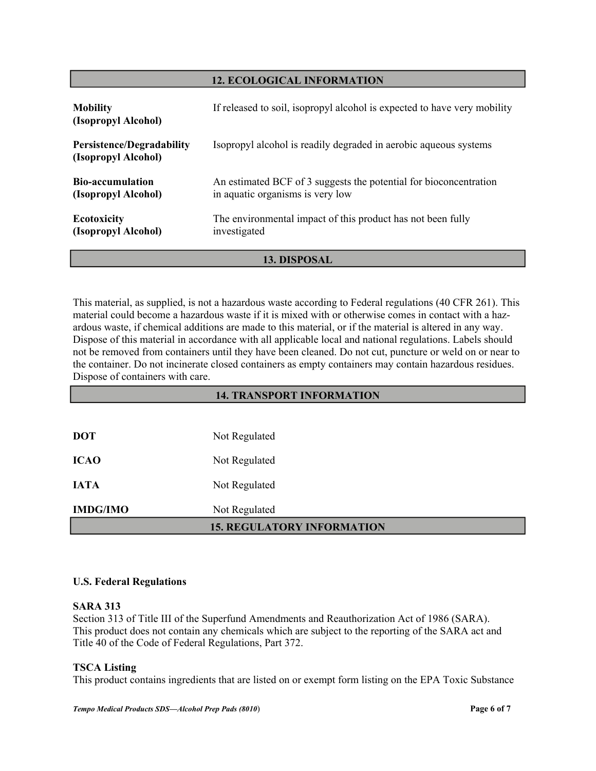# **12. ECOLOGICAL INFORMATION**

| <b>Mobility</b><br>(Isopropyl Alcohol)                  | If released to soil, isopropyl alcohol is expected to have very mobility                              |  |
|---------------------------------------------------------|-------------------------------------------------------------------------------------------------------|--|
| <b>Persistence/Degradability</b><br>(Isopropyl Alcohol) | Isopropyl alcohol is readily degraded in aerobic aqueous systems                                      |  |
| <b>Bio-accumulation</b><br>(Isopropyl Alcohol)          | An estimated BCF of 3 suggests the potential for bioconcentration<br>in aquatic organisms is very low |  |
| <b>Ecotoxicity</b><br>(Isopropyl Alcohol)               | The environmental impact of this product has not been fully<br>investigated                           |  |
| 13. DISPOSAL                                            |                                                                                                       |  |

This material, as supplied, is not a hazardous waste according to Federal regulations (40 CFR 261). This material could become a hazardous waste if it is mixed with or otherwise comes in contact with a hazardous waste, if chemical additions are made to this material, or if the material is altered in any way. Dispose of this material in accordance with all applicable local and national regulations. Labels should not be removed from containers until they have been cleaned. Do not cut, puncture or weld on or near to the container. Do not incinerate closed containers as empty containers may contain hazardous residues. Dispose of containers with care.

| <b>14. TRANSPORT INFORMATION</b>  |               |  |
|-----------------------------------|---------------|--|
|                                   |               |  |
| <b>DOT</b>                        | Not Regulated |  |
| <b>ICAO</b>                       | Not Regulated |  |
| <b>IATA</b>                       | Not Regulated |  |
| <b>IMDG/IMO</b>                   | Not Regulated |  |
| <b>15. REGULATORY INFORMATION</b> |               |  |

# **U.S. Federal Regulations**

# **SARA 313**

Section 313 of Title III of the Superfund Amendments and Reauthorization Act of 1986 (SARA). This product does not contain any chemicals which are subject to the reporting of the SARA act and Title 40 of the Code of Federal Regulations, Part 372.

# **TSCA Listing**

This product contains ingredients that are listed on or exempt form listing on the EPA Toxic Substance